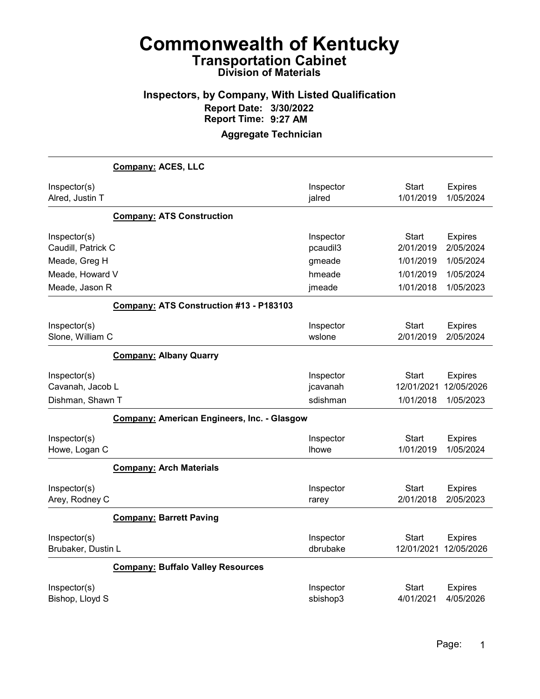#### Inspectors, by Company, With Listed Qualification Report Date: 3/30/2022 Report Time: 9:27 AM

|                                                      | Company: ACES, LLC                                 |                                   |                                         |                                           |
|------------------------------------------------------|----------------------------------------------------|-----------------------------------|-----------------------------------------|-------------------------------------------|
| Inspector(s)<br>Alred, Justin T                      |                                                    | Inspector<br>jalred               | <b>Start</b><br>1/01/2019               | <b>Expires</b><br>1/05/2024               |
|                                                      | <b>Company: ATS Construction</b>                   |                                   |                                         |                                           |
| Inspector(s)<br>Caudill, Patrick C                   |                                                    | Inspector<br>pcaudil3             | <b>Start</b><br>2/01/2019               | <b>Expires</b><br>2/05/2024               |
| Meade, Greg H                                        |                                                    | gmeade                            | 1/01/2019                               | 1/05/2024                                 |
| Meade, Howard V                                      |                                                    | hmeade                            | 1/01/2019                               | 1/05/2024                                 |
| Meade, Jason R                                       |                                                    | jmeade                            | 1/01/2018                               | 1/05/2023                                 |
|                                                      | Company: ATS Construction #13 - P183103            |                                   |                                         |                                           |
| Inspector(s)<br>Slone, William C                     |                                                    | Inspector<br>wslone               | <b>Start</b><br>2/01/2019               | <b>Expires</b><br>2/05/2024               |
|                                                      | <b>Company: Albany Quarry</b>                      |                                   |                                         |                                           |
| Inspector(s)<br>Cavanah, Jacob L<br>Dishman, Shawn T |                                                    | Inspector<br>jcavanah<br>sdishman | <b>Start</b><br>12/01/2021<br>1/01/2018 | <b>Expires</b><br>12/05/2026<br>1/05/2023 |
|                                                      | <b>Company: American Engineers, Inc. - Glasgow</b> |                                   |                                         |                                           |
| Inspector(s)<br>Howe, Logan C                        |                                                    | Inspector<br><b>Ihowe</b>         | Start<br>1/01/2019                      | <b>Expires</b><br>1/05/2024               |
|                                                      | <b>Company: Arch Materials</b>                     |                                   |                                         |                                           |
| Inspector(s)<br>Arey, Rodney C                       |                                                    | Inspector<br>rarey                | Start<br>2/01/2018                      | <b>Expires</b><br>2/05/2023               |
|                                                      | <b>Company: Barrett Paving</b>                     |                                   |                                         |                                           |
| Inspector(s)<br>Brubaker, Dustin L                   |                                                    | Inspector<br>dbrubake             | <b>Start</b><br>12/01/2021              | <b>Expires</b><br>12/05/2026              |
|                                                      | <b>Company: Buffalo Valley Resources</b>           |                                   |                                         |                                           |
| Inspector(s)<br>Bishop, Lloyd S                      |                                                    | Inspector<br>sbishop3             | <b>Start</b><br>4/01/2021               | <b>Expires</b><br>4/05/2026               |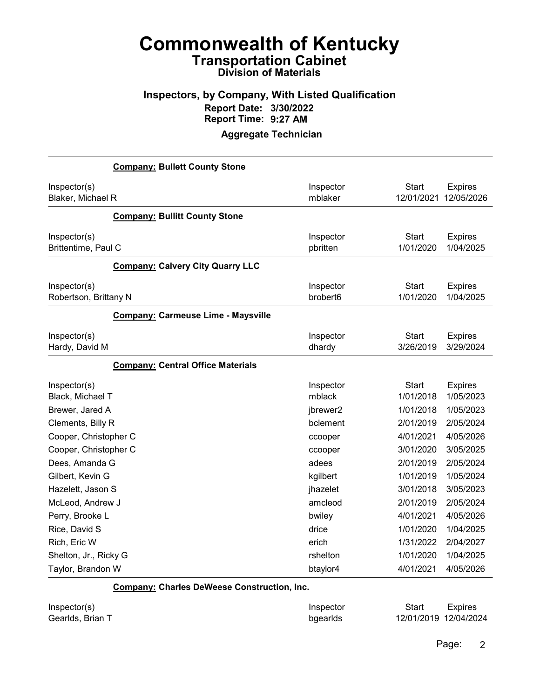#### Inspectors, by Company, With Listed Qualification Report Date: 3/30/2022 Report Time: 9:27 AM

#### Aggregate Technician

| <b>Company: Bullett County Stone</b>      |                       |                           |                             |
|-------------------------------------------|-----------------------|---------------------------|-----------------------------|
| Inspector(s)                              | Inspector             | <b>Start</b>              | <b>Expires</b>              |
| Blaker, Michael R                         | mblaker               | 12/01/2021                | 12/05/2026                  |
| <b>Company: Bullitt County Stone</b>      |                       |                           |                             |
| Inspector(s)<br>Brittentime, Paul C       | Inspector<br>pbritten | <b>Start</b><br>1/01/2020 | <b>Expires</b><br>1/04/2025 |
| <b>Company: Calvery City Quarry LLC</b>   |                       |                           |                             |
| Inspector(s)<br>Robertson, Brittany N     | Inspector<br>brobert6 | <b>Start</b><br>1/01/2020 | <b>Expires</b><br>1/04/2025 |
| <b>Company: Carmeuse Lime - Maysville</b> |                       |                           |                             |
| Inspector(s)<br>Hardy, David M            | Inspector<br>dhardy   | <b>Start</b><br>3/26/2019 | <b>Expires</b><br>3/29/2024 |
| <b>Company: Central Office Materials</b>  |                       |                           |                             |
| Inspector(s)<br>Black, Michael T          | Inspector<br>mblack   | <b>Start</b><br>1/01/2018 | <b>Expires</b><br>1/05/2023 |
| Brewer, Jared A                           | jbrewer2              | 1/01/2018                 | 1/05/2023                   |
| Clements, Billy R                         | bclement              | 2/01/2019                 | 2/05/2024                   |
| Cooper, Christopher C                     | ccooper               | 4/01/2021                 | 4/05/2026                   |
| Cooper, Christopher C                     | ccooper               | 3/01/2020                 | 3/05/2025                   |
| Dees, Amanda G                            | adees                 | 2/01/2019                 | 2/05/2024                   |
| Gilbert, Kevin G                          | kgilbert              | 1/01/2019                 | 1/05/2024                   |
| Hazelett, Jason S                         | jhazelet              | 3/01/2018                 | 3/05/2023                   |
| McLeod, Andrew J                          | amcleod               | 2/01/2019                 | 2/05/2024                   |
| Perry, Brooke L                           | bwiley                | 4/01/2021                 | 4/05/2026                   |
| Rice, David S                             | drice                 | 1/01/2020                 | 1/04/2025                   |
| Rich, Eric W                              | erich                 | 1/31/2022                 | 2/04/2027                   |
| Shelton, Jr., Ricky G                     | rshelton              | 1/01/2020                 | 1/04/2025                   |
| Taylor, Brandon W                         | btaylor4              | 4/01/2021                 | 4/05/2026                   |

Company: Charles DeWeese Construction, Inc.

| Inspector(s)     | Inspector | Start                 | <b>Expires</b> |
|------------------|-----------|-----------------------|----------------|
| Gearlds, Brian T | bgearlds  | 12/01/2019 12/04/2024 |                |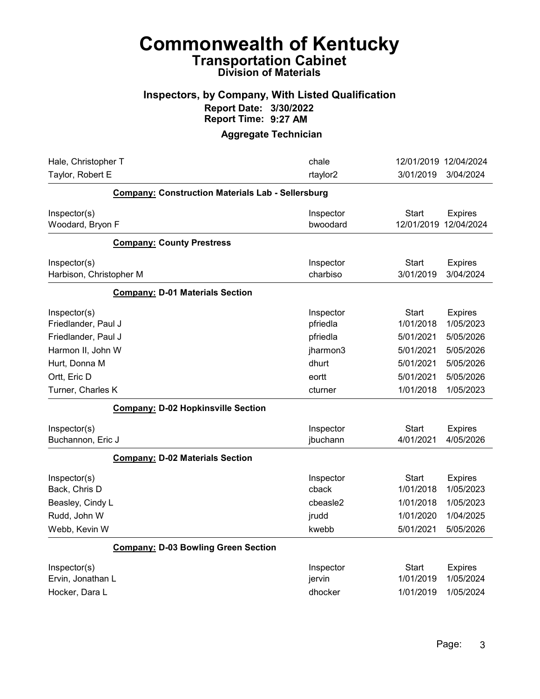#### Inspectors, by Company, With Listed Qualification Report Date: 3/30/2022 Report Time: 9:27 AM

| Hale, Christopher T                                      | chale                          |                                 | 12/01/2019 12/04/2024                    |
|----------------------------------------------------------|--------------------------------|---------------------------------|------------------------------------------|
| Taylor, Robert E                                         | rtaylor2                       | 3/01/2019                       | 3/04/2024                                |
| <b>Company: Construction Materials Lab - Sellersburg</b> |                                |                                 |                                          |
| Inspector(s)<br>Woodard, Bryon F                         | Inspector<br>bwoodard          | Start                           | <b>Expires</b><br>12/01/2019 12/04/2024  |
| <b>Company: County Prestress</b>                         |                                |                                 |                                          |
| Inspector(s)<br>Harbison, Christopher M                  | Inspector<br>charbiso          | <b>Start</b><br>3/01/2019       | <b>Expires</b><br>3/04/2024              |
| <b>Company: D-01 Materials Section</b>                   |                                |                                 |                                          |
| Inspector(s)<br>Friedlander, Paul J                      | Inspector<br>pfriedla          | <b>Start</b><br>1/01/2018       | <b>Expires</b><br>1/05/2023              |
| Friedlander, Paul J                                      | pfriedla                       | 5/01/2021                       | 5/05/2026                                |
| Harmon II, John W                                        | jharmon3                       | 5/01/2021                       | 5/05/2026                                |
| Hurt, Donna M                                            | dhurt                          | 5/01/2021                       | 5/05/2026                                |
| Ortt, Eric D                                             | eortt                          | 5/01/2021                       | 5/05/2026                                |
| Turner, Charles K                                        | cturner                        | 1/01/2018                       | 1/05/2023                                |
| <b>Company: D-02 Hopkinsville Section</b>                |                                |                                 |                                          |
| Inspector(s)<br>Buchannon, Eric J                        | Inspector<br>jbuchann          | <b>Start</b><br>4/01/2021       | <b>Expires</b><br>4/05/2026              |
| <b>Company: D-02 Materials Section</b>                   |                                |                                 |                                          |
| Inspector(s)<br>Back, Chris D                            | Inspector<br>cback             | Start<br>1/01/2018              | <b>Expires</b><br>1/05/2023              |
| Beasley, Cindy L                                         | cbeasle2                       | 1/01/2018                       | 1/05/2023                                |
| Rudd, John W                                             | jrudd                          | 1/01/2020                       | 1/04/2025                                |
| Webb, Kevin W                                            | kwebb                          | 5/01/2021                       | 5/05/2026                                |
| <b>Company: D-03 Bowling Green Section</b>               |                                |                                 |                                          |
| Inspector(s)<br>Ervin, Jonathan L<br>Hocker, Dara L      | Inspector<br>jervin<br>dhocker | Start<br>1/01/2019<br>1/01/2019 | <b>Expires</b><br>1/05/2024<br>1/05/2024 |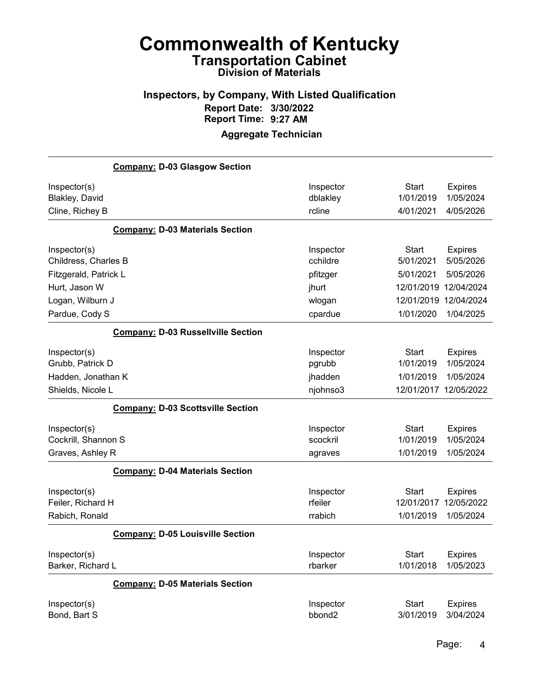#### Inspectors, by Company, With Listed Qualification Report Date: 3/30/2022 Report Time: 9:27 AM

|                                                          | <b>Company: D-03 Glasgow Section</b>      |                                  |                                        |                                           |
|----------------------------------------------------------|-------------------------------------------|----------------------------------|----------------------------------------|-------------------------------------------|
| Inspector(s)<br><b>Blakley, David</b><br>Cline, Richey B |                                           | Inspector<br>dblakley<br>rcline  | <b>Start</b><br>1/01/2019<br>4/01/2021 | <b>Expires</b><br>1/05/2024<br>4/05/2026  |
|                                                          | <b>Company: D-03 Materials Section</b>    |                                  |                                        |                                           |
| Inspector(s)<br>Childress, Charles B                     |                                           | Inspector<br>cchildre            | <b>Start</b><br>5/01/2021              | <b>Expires</b><br>5/05/2026               |
| Fitzgerald, Patrick L                                    |                                           | pfitzger                         | 5/01/2021                              | 5/05/2026                                 |
| Hurt, Jason W                                            |                                           | jhurt                            | 12/01/2019                             | 12/04/2024                                |
| Logan, Wilburn J                                         |                                           | wlogan                           | 12/01/2019                             | 12/04/2024                                |
| Pardue, Cody S                                           |                                           | cpardue                          | 1/01/2020                              | 1/04/2025                                 |
|                                                          | <b>Company: D-03 Russellville Section</b> |                                  |                                        |                                           |
| Inspector(s)<br>Grubb, Patrick D<br>Hadden, Jonathan K   |                                           | Inspector<br>pgrubb<br>jhadden   | Start<br>1/01/2019<br>1/01/2019        | <b>Expires</b><br>1/05/2024<br>1/05/2024  |
| Shields, Nicole L                                        |                                           | njohnso3                         | 12/01/2017                             | 12/05/2022                                |
|                                                          | <b>Company: D-03 Scottsville Section</b>  |                                  |                                        |                                           |
| Inspector(s)<br>Cockrill, Shannon S<br>Graves, Ashley R  |                                           | Inspector<br>scockril<br>agraves | Start<br>1/01/2019<br>1/01/2019        | <b>Expires</b><br>1/05/2024<br>1/05/2024  |
|                                                          | <b>Company: D-04 Materials Section</b>    |                                  |                                        |                                           |
| Inspector(s)<br>Feiler, Richard H<br>Rabich, Ronald      |                                           | Inspector<br>rfeiler<br>rrabich  | Start<br>12/01/2017<br>1/01/2019       | <b>Expires</b><br>12/05/2022<br>1/05/2024 |
|                                                          | <b>Company: D-05 Louisville Section</b>   |                                  |                                        |                                           |
| Inspector(s)<br>Barker, Richard L                        |                                           | Inspector<br>rbarker             | Start<br>1/01/2018                     | <b>Expires</b><br>1/05/2023               |
|                                                          | <b>Company: D-05 Materials Section</b>    |                                  |                                        |                                           |
| Inspector(s)<br>Bond, Bart S                             |                                           | Inspector<br>bbond <sub>2</sub>  | <b>Start</b><br>3/01/2019              | <b>Expires</b><br>3/04/2024               |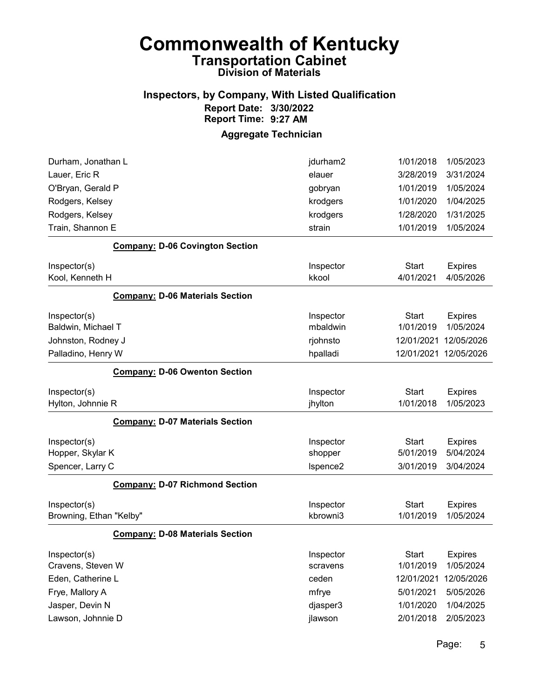#### Inspectors, by Company, With Listed Qualification Report Date: 3/30/2022 Report Time: 9:27 AM

| Durham, Jonathan L                     | jdurham2  | 1/01/2018    | 1/05/2023      |
|----------------------------------------|-----------|--------------|----------------|
| Lauer, Eric R                          | elauer    | 3/28/2019    | 3/31/2024      |
| O'Bryan, Gerald P                      | gobryan   | 1/01/2019    | 1/05/2024      |
| Rodgers, Kelsey                        | krodgers  | 1/01/2020    | 1/04/2025      |
| Rodgers, Kelsey                        | krodgers  | 1/28/2020    | 1/31/2025      |
| Train, Shannon E                       | strain    | 1/01/2019    | 1/05/2024      |
| <b>Company: D-06 Covington Section</b> |           |              |                |
| Inspector(s)                           | Inspector | <b>Start</b> | <b>Expires</b> |
| Kool, Kenneth H                        | kkool     | 4/01/2021    | 4/05/2026      |
| <b>Company: D-06 Materials Section</b> |           |              |                |
| Inspector(s)                           | Inspector | <b>Start</b> | <b>Expires</b> |
| Baldwin, Michael T                     | mbaldwin  | 1/01/2019    | 1/05/2024      |
| Johnston, Rodney J                     | rjohnsto  | 12/01/2021   | 12/05/2026     |
| Palladino, Henry W                     | hpalladi  | 12/01/2021   | 12/05/2026     |
| <b>Company: D-06 Owenton Section</b>   |           |              |                |
| Inspector(s)                           | Inspector | <b>Start</b> | <b>Expires</b> |
| Hylton, Johnnie R                      | jhylton   | 1/01/2018    | 1/05/2023      |
| <b>Company: D-07 Materials Section</b> |           |              |                |
| Inspector(s)                           | Inspector | <b>Start</b> | <b>Expires</b> |
| Hopper, Skylar K                       | shopper   | 5/01/2019    | 5/04/2024      |
| Spencer, Larry C                       | Ispence2  | 3/01/2019    | 3/04/2024      |
| <b>Company: D-07 Richmond Section</b>  |           |              |                |
| Inspector(s)                           | Inspector | <b>Start</b> | <b>Expires</b> |
| Browning, Ethan "Kelby"                | kbrowni3  | 1/01/2019    | 1/05/2024      |
| <b>Company: D-08 Materials Section</b> |           |              |                |
| Inspector(s)                           | Inspector | Start        | <b>Expires</b> |
| Cravens, Steven W                      | scravens  | 1/01/2019    | 1/05/2024      |
| Eden, Catherine L                      | ceden     | 12/01/2021   | 12/05/2026     |
| Frye, Mallory A                        | mfrye     | 5/01/2021    | 5/05/2026      |
| Jasper, Devin N                        | djasper3  | 1/01/2020    | 1/04/2025      |
| Lawson, Johnnie D                      | jlawson   | 2/01/2018    | 2/05/2023      |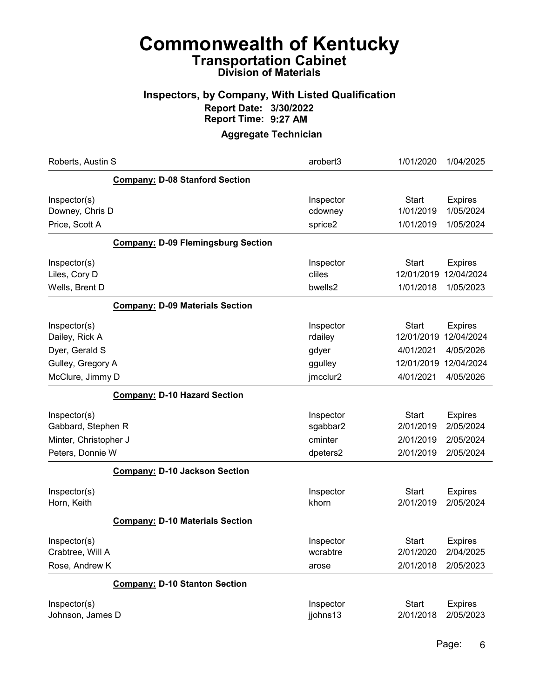#### Inspectors, by Company, With Listed Qualification Report Date: 3/30/2022 Report Time: 9:27 AM

| Roberts, Austin S     |                                           | arobert3  | 1/01/2020    | 1/04/2025      |
|-----------------------|-------------------------------------------|-----------|--------------|----------------|
|                       | <b>Company: D-08 Stanford Section</b>     |           |              |                |
| Inspector(s)          |                                           | Inspector | <b>Start</b> | <b>Expires</b> |
| Downey, Chris D       |                                           | cdowney   | 1/01/2019    | 1/05/2024      |
| Price, Scott A        |                                           | sprice2   | 1/01/2019    | 1/05/2024      |
|                       | <b>Company: D-09 Flemingsburg Section</b> |           |              |                |
| Inspector(s)          |                                           | Inspector | <b>Start</b> | <b>Expires</b> |
| Liles, Cory D         |                                           | cliles    | 12/01/2019   | 12/04/2024     |
| Wells, Brent D        |                                           | bwells2   | 1/01/2018    | 1/05/2023      |
|                       | <b>Company: D-09 Materials Section</b>    |           |              |                |
| Inspector(s)          |                                           | Inspector | <b>Start</b> | <b>Expires</b> |
| Dailey, Rick A        |                                           | rdailey   | 12/01/2019   | 12/04/2024     |
| Dyer, Gerald S        |                                           | gdyer     | 4/01/2021    | 4/05/2026      |
| Gulley, Gregory A     |                                           | ggulley   | 12/01/2019   | 12/04/2024     |
| McClure, Jimmy D      |                                           | jmcclur2  | 4/01/2021    | 4/05/2026      |
|                       | <b>Company: D-10 Hazard Section</b>       |           |              |                |
| Inspector(s)          |                                           | Inspector | <b>Start</b> | <b>Expires</b> |
| Gabbard, Stephen R    |                                           | sgabbar2  | 2/01/2019    | 2/05/2024      |
| Minter, Christopher J |                                           | cminter   | 2/01/2019    | 2/05/2024      |
| Peters, Donnie W      |                                           | dpeters2  | 2/01/2019    | 2/05/2024      |
|                       | <b>Company: D-10 Jackson Section</b>      |           |              |                |
| Inspector(s)          |                                           | Inspector | <b>Start</b> | <b>Expires</b> |
| Horn, Keith           |                                           | khorn     | 2/01/2019    | 2/05/2024      |
|                       | <b>Company: D-10 Materials Section</b>    |           |              |                |
| Inspector(s)          |                                           | Inspector | <b>Start</b> | <b>Expires</b> |
| Crabtree, Will A      |                                           | wcrabtre  | 2/01/2020    | 2/04/2025      |
| Rose, Andrew K        |                                           | arose     | 2/01/2018    | 2/05/2023      |
|                       | <b>Company: D-10 Stanton Section</b>      |           |              |                |
| Inspector(s)          |                                           | Inspector | <b>Start</b> | <b>Expires</b> |
| Johnson, James D      |                                           | jjohns13  | 2/01/2018    | 2/05/2023      |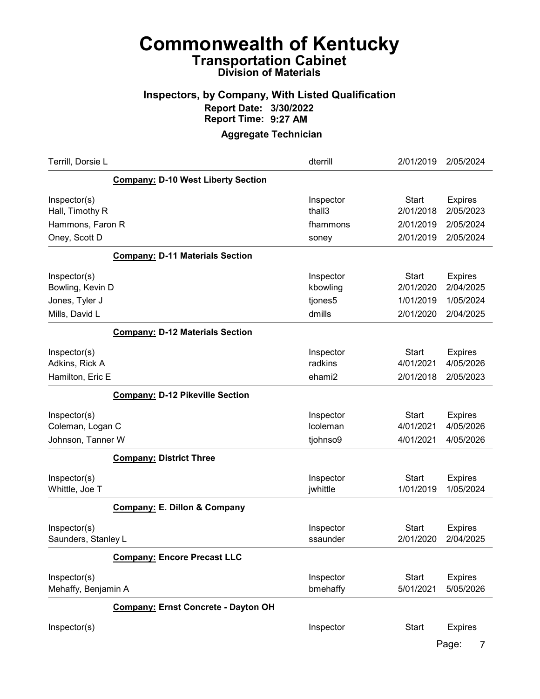#### Inspectors, by Company, With Listed Qualification Report Date: 3/30/2022 Report Time: 9:27 AM

| Terrill, Dorsie L                                                    |                                            | dterrill                                   | 2/01/2019                                           | 2/05/2024                                             |
|----------------------------------------------------------------------|--------------------------------------------|--------------------------------------------|-----------------------------------------------------|-------------------------------------------------------|
|                                                                      | <b>Company: D-10 West Liberty Section</b>  |                                            |                                                     |                                                       |
| Inspector(s)<br>Hall, Timothy R<br>Hammons, Faron R<br>Oney, Scott D |                                            | Inspector<br>thall3<br>fhammons<br>soney   | <b>Start</b><br>2/01/2018<br>2/01/2019<br>2/01/2019 | <b>Expires</b><br>2/05/2023<br>2/05/2024<br>2/05/2024 |
|                                                                      | <b>Company: D-11 Materials Section</b>     |                                            |                                                     |                                                       |
| Inspector(s)<br>Bowling, Kevin D<br>Jones, Tyler J<br>Mills, David L |                                            | Inspector<br>kbowling<br>tjones5<br>dmills | <b>Start</b><br>2/01/2020<br>1/01/2019<br>2/01/2020 | <b>Expires</b><br>2/04/2025<br>1/05/2024<br>2/04/2025 |
|                                                                      | <b>Company: D-12 Materials Section</b>     |                                            |                                                     |                                                       |
| Inspector(s)<br>Adkins, Rick A<br>Hamilton, Eric E                   |                                            | Inspector<br>radkins<br>ehami2             | <b>Start</b><br>4/01/2021<br>2/01/2018              | <b>Expires</b><br>4/05/2026<br>2/05/2023              |
|                                                                      | <b>Company: D-12 Pikeville Section</b>     |                                            |                                                     |                                                       |
| Inspector(s)<br>Coleman, Logan C<br>Johnson, Tanner W                |                                            | Inspector<br>Icoleman<br>tjohnso9          | <b>Start</b><br>4/01/2021<br>4/01/2021              | <b>Expires</b><br>4/05/2026<br>4/05/2026              |
|                                                                      | <b>Company: District Three</b>             |                                            |                                                     |                                                       |
| Inspector(s)<br>Whittle, Joe T                                       |                                            | Inspector<br>jwhittle                      | <b>Start</b><br>1/01/2019                           | <b>Expires</b><br>1/05/2024                           |
|                                                                      | <b>Company: E. Dillon &amp; Company</b>    |                                            |                                                     |                                                       |
| Inspector(s)<br>Saunders, Stanley L                                  |                                            | Inspector<br>ssaunder                      | <b>Start</b><br>2/01/2020                           | <b>Expires</b><br>2/04/2025                           |
|                                                                      | <b>Company: Encore Precast LLC</b>         |                                            |                                                     |                                                       |
| Inspector(s)<br>Mehaffy, Benjamin A                                  |                                            | Inspector<br>bmehaffy                      | <b>Start</b><br>5/01/2021                           | <b>Expires</b><br>5/05/2026                           |
|                                                                      | <b>Company: Ernst Concrete - Dayton OH</b> |                                            |                                                     |                                                       |
| Inspector(s)                                                         |                                            | Inspector                                  | <b>Start</b>                                        | <b>Expires</b><br>Page:                               |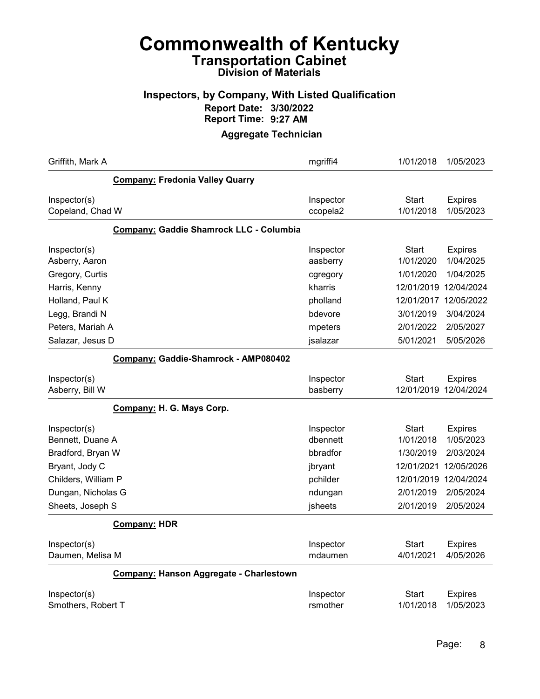#### Inspectors, by Company, With Listed Qualification Report Date: 3/30/2022 Report Time: 9:27 AM

| Griffith, Mark A                                                                                                                         | mgriffi4                                                                       | 1/01/2018                                                                             | 1/05/2023                                                                                      |
|------------------------------------------------------------------------------------------------------------------------------------------|--------------------------------------------------------------------------------|---------------------------------------------------------------------------------------|------------------------------------------------------------------------------------------------|
| <b>Company: Fredonia Valley Quarry</b>                                                                                                   |                                                                                |                                                                                       |                                                                                                |
| Inspector(s)<br>Copeland, Chad W                                                                                                         | Inspector<br>ccopela2                                                          | Start<br>1/01/2018                                                                    | <b>Expires</b><br>1/05/2023                                                                    |
| <b>Company: Gaddie Shamrock LLC - Columbia</b>                                                                                           |                                                                                |                                                                                       |                                                                                                |
| Inspector(s)<br>Asberry, Aaron<br>Gregory, Curtis<br>Harris, Kenny<br>Holland, Paul K<br>Legg, Brandi N                                  | Inspector<br>aasberry<br>cgregory<br>kharris<br>pholland<br>bdevore            | <b>Start</b><br>1/01/2020<br>1/01/2020<br>12/01/2019<br>12/01/2017<br>3/01/2019       | <b>Expires</b><br>1/04/2025<br>1/04/2025<br>12/04/2024<br>12/05/2022<br>3/04/2024              |
| Peters, Mariah A<br>Salazar, Jesus D                                                                                                     | mpeters<br>jsalazar                                                            | 2/01/2022<br>5/01/2021                                                                | 2/05/2027<br>5/05/2026                                                                         |
| Company: Gaddie-Shamrock - AMP080402<br>Inspector(s)                                                                                     | Inspector                                                                      | <b>Start</b>                                                                          | <b>Expires</b>                                                                                 |
| Asberry, Bill W                                                                                                                          | basberry                                                                       | 12/01/2019                                                                            | 12/04/2024                                                                                     |
| Company: H. G. Mays Corp.                                                                                                                |                                                                                |                                                                                       |                                                                                                |
| Inspector(s)<br>Bennett, Duane A<br>Bradford, Bryan W<br>Bryant, Jody C<br>Childers, William P<br>Dungan, Nicholas G<br>Sheets, Joseph S | Inspector<br>dbennett<br>bbradfor<br>jbryant<br>pchilder<br>ndungan<br>jsheets | Start<br>1/01/2018<br>1/30/2019<br>12/01/2021<br>12/01/2019<br>2/01/2019<br>2/01/2019 | <b>Expires</b><br>1/05/2023<br>2/03/2024<br>12/05/2026<br>12/04/2024<br>2/05/2024<br>2/05/2024 |
| <b>Company: HDR</b>                                                                                                                      |                                                                                |                                                                                       |                                                                                                |
| Inspector(s)<br>Daumen, Melisa M                                                                                                         | Inspector<br>mdaumen                                                           | Start<br>4/01/2021                                                                    | <b>Expires</b><br>4/05/2026                                                                    |
| Company: Hanson Aggregate - Charlestown                                                                                                  |                                                                                |                                                                                       |                                                                                                |
| Inspector(s)<br>Smothers, Robert T                                                                                                       | Inspector<br>rsmother                                                          | Start<br>1/01/2018                                                                    | <b>Expires</b><br>1/05/2023                                                                    |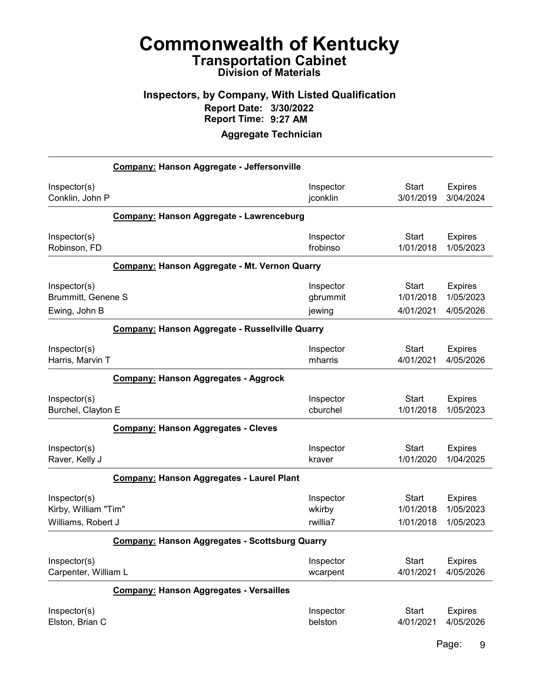#### Inspectors, by Company, With Listed Qualification Report Date: 3/30/2022 Report Time: 9:27 AM

|                                                       | Company: Hanson Aggregate - Jeffersonville       |           |              |                |  |
|-------------------------------------------------------|--------------------------------------------------|-----------|--------------|----------------|--|
| Inspector(s)                                          |                                                  | Inspector | Start        | <b>Expires</b> |  |
| Conklin, John P                                       |                                                  | jconklin  | 3/01/2019    | 3/04/2024      |  |
|                                                       | Company: Hanson Aggregate - Lawrenceburg         |           |              |                |  |
| Inspector(s)                                          |                                                  | Inspector | <b>Start</b> | <b>Expires</b> |  |
| Robinson, FD                                          |                                                  | frobinso  | 1/01/2018    | 1/05/2023      |  |
|                                                       | Company: Hanson Aggregate - Mt. Vernon Quarry    |           |              |                |  |
| Inspector(s)                                          |                                                  | Inspector | Start        | <b>Expires</b> |  |
| <b>Brummitt, Genene S</b>                             |                                                  | gbrummit  | 1/01/2018    | 1/05/2023      |  |
| Ewing, John B                                         |                                                  | jewing    | 4/01/2021    | 4/05/2026      |  |
|                                                       | Company: Hanson Aggregate - Russellville Quarry  |           |              |                |  |
| Inspector(s)                                          |                                                  | Inspector | <b>Start</b> | <b>Expires</b> |  |
| Harris, Marvin T                                      |                                                  | mharris   | 4/01/2021    | 4/05/2026      |  |
|                                                       | <b>Company: Hanson Aggregates - Aggrock</b>      |           |              |                |  |
| Inspector(s)                                          |                                                  | Inspector | <b>Start</b> | <b>Expires</b> |  |
| Burchel, Clayton E                                    |                                                  | cburchel  | 1/01/2018    | 1/05/2023      |  |
|                                                       | <b>Company: Hanson Aggregates - Cleves</b>       |           |              |                |  |
| Inspector(s)                                          |                                                  | Inspector | <b>Start</b> | <b>Expires</b> |  |
| Raver, Kelly J                                        |                                                  | kraver    | 1/01/2020    | 1/04/2025      |  |
|                                                       | <b>Company: Hanson Aggregates - Laurel Plant</b> |           |              |                |  |
| Inspector(s)                                          |                                                  | Inspector | <b>Start</b> | <b>Expires</b> |  |
| Kirby, William "Tim"                                  |                                                  | wkirby    | 1/01/2018    | 1/05/2023      |  |
| Williams, Robert J                                    |                                                  | rwillia7  | 1/01/2018    | 1/05/2023      |  |
| <b>Company: Hanson Aggregates - Scottsburg Quarry</b> |                                                  |           |              |                |  |
| Inspector(s)                                          |                                                  | Inspector | <b>Start</b> | <b>Expires</b> |  |
| Carpenter, William L                                  |                                                  | wcarpent  | 4/01/2021    | 4/05/2026      |  |
|                                                       | <b>Company: Hanson Aggregates - Versailles</b>   |           |              |                |  |
| Inspector(s)                                          |                                                  | Inspector | <b>Start</b> | <b>Expires</b> |  |
| Elston, Brian C                                       |                                                  | belston   | 4/01/2021    | 4/05/2026      |  |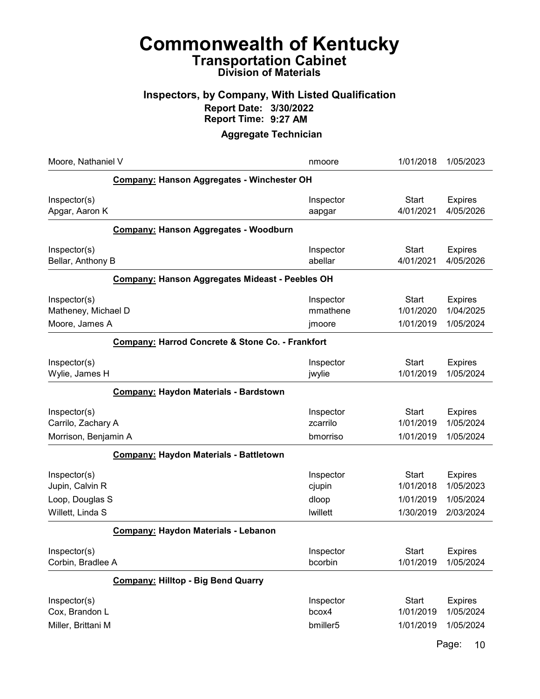# Commonwealth of Kentucky Transportation Cabinet

## Division of Materials

#### Inspectors, by Company, With Listed Qualification Report Date: 3/30/2022 Report Time: 9:27 AM

#### Aggregate Technician

| Moore, Nathaniel V                                                     |                                                  | nmoore                                          | 1/01/2018                                           | 1/05/2023                                             |  |
|------------------------------------------------------------------------|--------------------------------------------------|-------------------------------------------------|-----------------------------------------------------|-------------------------------------------------------|--|
|                                                                        | Company: Hanson Aggregates - Winchester OH       |                                                 |                                                     |                                                       |  |
| Inspector(s)<br>Apgar, Aaron K                                         |                                                  | Inspector<br>aapgar                             | <b>Start</b><br>4/01/2021                           | <b>Expires</b><br>4/05/2026                           |  |
|                                                                        | <b>Company: Hanson Aggregates - Woodburn</b>     |                                                 |                                                     |                                                       |  |
| Inspector(s)<br>Bellar, Anthony B                                      |                                                  | Inspector<br>abellar                            | <b>Start</b><br>4/01/2021                           | <b>Expires</b><br>4/05/2026                           |  |
|                                                                        | Company: Hanson Aggregates Mideast - Peebles OH  |                                                 |                                                     |                                                       |  |
| Inspector(s)<br>Matheney, Michael D<br>Moore, James A                  |                                                  | Inspector<br>mmathene<br>jmoore                 | <b>Start</b><br>1/01/2020<br>1/01/2019              | <b>Expires</b><br>1/04/2025<br>1/05/2024              |  |
|                                                                        | Company: Harrod Concrete & Stone Co. - Frankfort |                                                 |                                                     |                                                       |  |
| Inspector(s)<br>Wylie, James H                                         |                                                  | Inspector<br>jwylie                             | <b>Start</b><br>1/01/2019                           | <b>Expires</b><br>1/05/2024                           |  |
|                                                                        | Company: Haydon Materials - Bardstown            |                                                 |                                                     |                                                       |  |
| Inspector(s)<br>Carrilo, Zachary A                                     |                                                  | Inspector<br>zcarrilo                           | <b>Start</b><br>1/01/2019                           | <b>Expires</b><br>1/05/2024                           |  |
| Morrison, Benjamin A                                                   | <b>Company: Haydon Materials - Battletown</b>    | bmorriso                                        | 1/01/2019                                           | 1/05/2024                                             |  |
| Inspector(s)<br>Jupin, Calvin R<br>Loop, Douglas S<br>Willett, Linda S |                                                  | Inspector<br>cjupin<br>dloop<br><b>Iwillett</b> | <b>Start</b><br>1/01/2018<br>1/01/2019<br>1/30/2019 | <b>Expires</b><br>1/05/2023<br>1/05/2024<br>2/03/2024 |  |
|                                                                        | Company: Haydon Materials - Lebanon              |                                                 |                                                     |                                                       |  |
| Inspector(s)<br>Corbin, Bradlee A                                      |                                                  | Inspector<br>bcorbin                            | Start<br>1/01/2019                                  | <b>Expires</b><br>1/05/2024                           |  |
|                                                                        | <b>Company: Hilltop - Big Bend Quarry</b>        |                                                 |                                                     |                                                       |  |
| Inspector(s)<br>Cox, Brandon L<br>Miller, Brittani M                   |                                                  | Inspector<br>bcox4<br>bmiller <sub>5</sub>      | <b>Start</b><br>1/01/2019<br>1/01/2019              | <b>Expires</b><br>1/05/2024<br>1/05/2024              |  |

Page: 10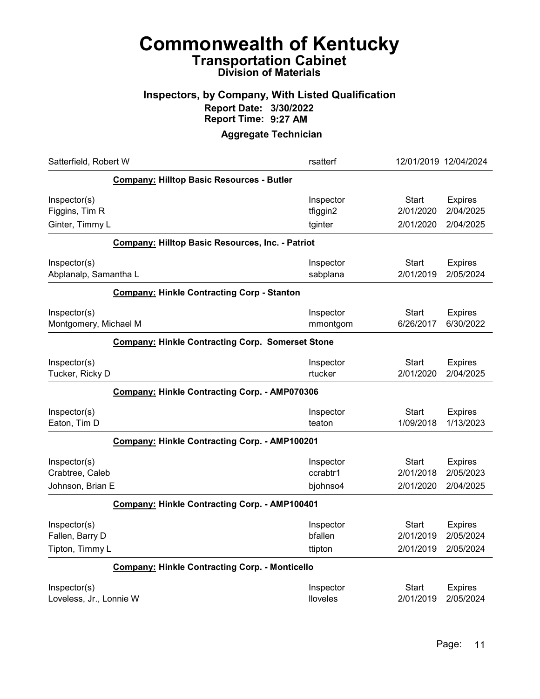#### Inspectors, by Company, With Listed Qualification Report Date: 3/30/2022 Report Time: 9:27 AM

| Satterfield, Robert W                                   | rsatterf  | 12/01/2019 12/04/2024 |                |
|---------------------------------------------------------|-----------|-----------------------|----------------|
| Company: Hilltop Basic Resources - Butler               |           |                       |                |
| Inspector(s)                                            | Inspector | <b>Start</b>          | <b>Expires</b> |
| Figgins, Tim R                                          | tfiggin2  | 2/01/2020             | 2/04/2025      |
| Ginter, Timmy L                                         | tginter   | 2/01/2020             | 2/04/2025      |
| <b>Company: Hilltop Basic Resources, Inc. - Patriot</b> |           |                       |                |
| Inspector(s)                                            | Inspector | Start                 | <b>Expires</b> |
| Abplanalp, Samantha L                                   | sabplana  | 2/01/2019             | 2/05/2024      |
| <b>Company: Hinkle Contracting Corp - Stanton</b>       |           |                       |                |
| Inspector(s)                                            | Inspector | Start                 | <b>Expires</b> |
| Montgomery, Michael M                                   | mmontgom  | 6/26/2017             | 6/30/2022      |
| <b>Company: Hinkle Contracting Corp. Somerset Stone</b> |           |                       |                |
| Inspector(s)                                            | Inspector | Start                 | <b>Expires</b> |
| Tucker, Ricky D                                         | rtucker   | 2/01/2020             | 2/04/2025      |
| Company: Hinkle Contracting Corp. - AMP070306           |           |                       |                |
| Inspector(s)                                            | Inspector | <b>Start</b>          | <b>Expires</b> |
| Eaton, Tim D                                            | teaton    | 1/09/2018             | 1/13/2023      |
| Company: Hinkle Contracting Corp. - AMP100201           |           |                       |                |
| Inspector(s)                                            | Inspector | Start                 | <b>Expires</b> |
| Crabtree, Caleb                                         | ccrabtr1  | 2/01/2018             | 2/05/2023      |
| Johnson, Brian E                                        | bjohnso4  | 2/01/2020             | 2/04/2025      |
| Company: Hinkle Contracting Corp. - AMP100401           |           |                       |                |
| Inspector(s)                                            | Inspector | Start                 | <b>Expires</b> |
| Fallen, Barry D                                         | bfallen   | 2/01/2019             | 2/05/2024      |
| Tipton, Timmy L                                         | ttipton   | 2/01/2019             | 2/05/2024      |
| <b>Company: Hinkle Contracting Corp. - Monticello</b>   |           |                       |                |
| Inspector(s)                                            | Inspector | <b>Start</b>          | <b>Expires</b> |
| Loveless, Jr., Lonnie W                                 | lloveles  | 2/01/2019             | 2/05/2024      |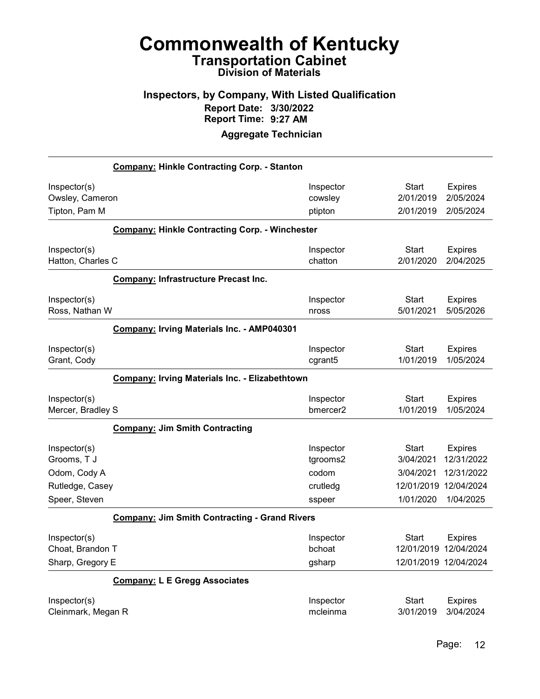#### Inspectors, by Company, With Listed Qualification Report Date: 3/30/2022 Report Time: 9:27 AM

|                    | <b>Company: Hinkle Contracting Corp. - Stanton</b>    |           |              |                       |
|--------------------|-------------------------------------------------------|-----------|--------------|-----------------------|
| Inspector(s)       |                                                       | Inspector | <b>Start</b> | <b>Expires</b>        |
| Owsley, Cameron    |                                                       | cowsley   | 2/01/2019    | 2/05/2024             |
| Tipton, Pam M      |                                                       | ptipton   | 2/01/2019    | 2/05/2024             |
|                    | <b>Company: Hinkle Contracting Corp. - Winchester</b> |           |              |                       |
| Inspector(s)       |                                                       | Inspector | <b>Start</b> | <b>Expires</b>        |
| Hatton, Charles C  |                                                       | chatton   | 2/01/2020    | 2/04/2025             |
|                    | <b>Company: Infrastructure Precast Inc.</b>           |           |              |                       |
| Inspector(s)       |                                                       | Inspector | <b>Start</b> | <b>Expires</b>        |
| Ross, Nathan W     |                                                       | nross     | 5/01/2021    | 5/05/2026             |
|                    | Company: Irving Materials Inc. - AMP040301            |           |              |                       |
| Inspector(s)       |                                                       | Inspector | <b>Start</b> | <b>Expires</b>        |
| Grant, Cody        |                                                       | cgrant5   | 1/01/2019    | 1/05/2024             |
|                    | Company: Irving Materials Inc. - Elizabethtown        |           |              |                       |
| Inspector(s)       |                                                       | Inspector | <b>Start</b> | <b>Expires</b>        |
| Mercer, Bradley S  |                                                       | bmercer2  | 1/01/2019    | 1/05/2024             |
|                    | <b>Company: Jim Smith Contracting</b>                 |           |              |                       |
| Inspector(s)       |                                                       | Inspector | <b>Start</b> | <b>Expires</b>        |
| Grooms, T J        |                                                       | tgrooms2  | 3/04/2021    | 12/31/2022            |
| Odom, Cody A       |                                                       | codom     | 3/04/2021    | 12/31/2022            |
| Rutledge, Casey    |                                                       | crutledg  | 12/01/2019   | 12/04/2024            |
| Speer, Steven      |                                                       | sspeer    | 1/01/2020    | 1/04/2025             |
|                    | <b>Company: Jim Smith Contracting - Grand Rivers</b>  |           |              |                       |
| Inspector(s)       |                                                       | Inspector | <b>Start</b> | <b>Expires</b>        |
| Choat. Brandon T   |                                                       | bchoat    |              | 12/01/2019 12/04/2024 |
| Sharp, Gregory E   |                                                       | gsharp    |              | 12/01/2019 12/04/2024 |
|                    | <b>Company: L E Gregg Associates</b>                  |           |              |                       |
| Inspector(s)       |                                                       | Inspector | <b>Start</b> | <b>Expires</b>        |
| Cleinmark, Megan R |                                                       | mcleinma  | 3/01/2019    | 3/04/2024             |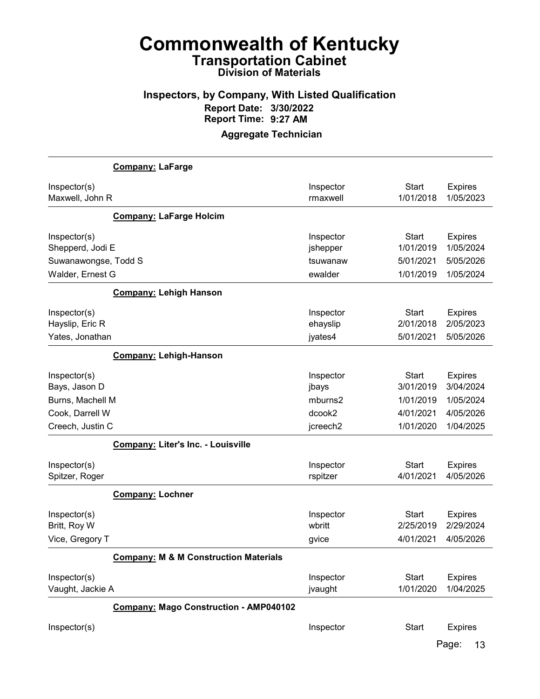#### Inspectors, by Company, With Listed Qualification Report Date: 3/30/2022 Report Time: 9:27 AM

|                                                          | <b>Company: LaFarge</b>                          |                                   |                                        |                                          |
|----------------------------------------------------------|--------------------------------------------------|-----------------------------------|----------------------------------------|------------------------------------------|
| Inspector(s)<br>Maxwell, John R                          |                                                  | Inspector<br>rmaxwell             | <b>Start</b><br>1/01/2018              | <b>Expires</b><br>1/05/2023              |
|                                                          | <b>Company: LaFarge Holcim</b>                   |                                   |                                        |                                          |
| Inspector(s)<br>Shepperd, Jodi E<br>Suwanawongse, Todd S |                                                  | Inspector<br>jshepper<br>tsuwanaw | Start<br>1/01/2019<br>5/01/2021        | <b>Expires</b><br>1/05/2024<br>5/05/2026 |
| Walder, Ernest G                                         |                                                  | ewalder                           | 1/01/2019                              | 1/05/2024                                |
|                                                          | <b>Company: Lehigh Hanson</b>                    |                                   |                                        |                                          |
| Inspector(s)<br>Hayslip, Eric R<br>Yates, Jonathan       |                                                  | Inspector<br>ehayslip<br>jyates4  | <b>Start</b><br>2/01/2018<br>5/01/2021 | <b>Expires</b><br>2/05/2023<br>5/05/2026 |
|                                                          | <b>Company: Lehigh-Hanson</b>                    |                                   |                                        |                                          |
| Inspector(s)<br>Bays, Jason D<br>Burns, Machell M        |                                                  | Inspector<br>jbays<br>mburns2     | <b>Start</b><br>3/01/2019<br>1/01/2019 | <b>Expires</b><br>3/04/2024<br>1/05/2024 |
| Cook, Darrell W                                          |                                                  | dcook2                            | 4/01/2021                              | 4/05/2026                                |
| Creech, Justin C                                         |                                                  | jcreech2                          | 1/01/2020                              | 1/04/2025                                |
|                                                          | <b>Company: Liter's Inc. - Louisville</b>        |                                   |                                        |                                          |
| Inspector(s)<br>Spitzer, Roger                           |                                                  | Inspector<br>rspitzer             | <b>Start</b><br>4/01/2021              | <b>Expires</b><br>4/05/2026              |
|                                                          | <b>Company: Lochner</b>                          |                                   |                                        |                                          |
| Inspector(s)<br>Britt, Roy W<br>Vice, Gregory T          |                                                  | Inspector<br>wbritt               | <b>Start</b><br>2/25/2019<br>4/01/2021 | <b>Expires</b><br>2/29/2024<br>4/05/2026 |
|                                                          |                                                  | gvice                             |                                        |                                          |
|                                                          | <b>Company: M &amp; M Construction Materials</b> |                                   |                                        |                                          |
| Inspector(s)<br>Vaught, Jackie A                         |                                                  | Inspector<br>jvaught              | <b>Start</b><br>1/01/2020              | <b>Expires</b><br>1/04/2025              |
|                                                          | <b>Company: Mago Construction - AMP040102</b>    |                                   |                                        |                                          |
| Inspector(s)                                             |                                                  | Inspector                         | <b>Start</b>                           | <b>Expires</b>                           |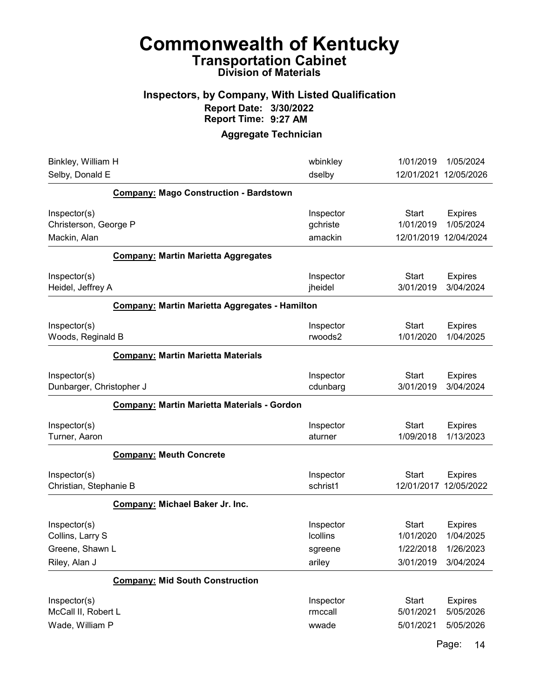#### Inspectors, by Company, With Listed Qualification Report Date: 3/30/2022 Report Time: 9:27 AM

#### Aggregate Technician

| Binkley, William H<br>Selby, Donald E                  |                                                       | wbinkley<br>dselby               | 1/01/2019<br>12/01/2021                            | 1/05/2024<br>12/05/2026                  |
|--------------------------------------------------------|-------------------------------------------------------|----------------------------------|----------------------------------------------------|------------------------------------------|
|                                                        | <b>Company: Mago Construction - Bardstown</b>         |                                  |                                                    |                                          |
| Inspector(s)<br>Christerson, George P<br>Mackin, Alan  |                                                       | Inspector<br>gchriste<br>amackin | <b>Start</b><br>1/01/2019<br>12/01/2019 12/04/2024 | <b>Expires</b><br>1/05/2024              |
|                                                        | <b>Company: Martin Marietta Aggregates</b>            |                                  |                                                    |                                          |
| Inspector(s)<br>Heidel, Jeffrey A                      |                                                       | Inspector<br>jheidel             | <b>Start</b><br>3/01/2019                          | <b>Expires</b><br>3/04/2024              |
|                                                        | <b>Company: Martin Marietta Aggregates - Hamilton</b> |                                  |                                                    |                                          |
| Inspector(s)<br>Woods, Reginald B                      |                                                       | Inspector<br>rwoods2             | <b>Start</b><br>1/01/2020                          | <b>Expires</b><br>1/04/2025              |
|                                                        | <b>Company: Martin Marietta Materials</b>             |                                  |                                                    |                                          |
| Inspector(s)<br>Dunbarger, Christopher J               |                                                       | Inspector<br>cdunbarg            | <b>Start</b><br>3/01/2019                          | <b>Expires</b><br>3/04/2024              |
|                                                        | Company: Martin Marietta Materials - Gordon           |                                  |                                                    |                                          |
| Inspector(s)<br>Turner, Aaron                          |                                                       | Inspector<br>aturner             | <b>Start</b><br>1/09/2018                          | <b>Expires</b><br>1/13/2023              |
|                                                        | <b>Company: Meuth Concrete</b>                        |                                  |                                                    |                                          |
| Inspector(s)<br>Christian, Stephanie B                 |                                                       | Inspector<br>schrist1            | <b>Start</b><br>12/01/2017                         | <b>Expires</b><br>12/05/2022             |
|                                                        | Company: Michael Baker Jr. Inc.                       |                                  |                                                    |                                          |
| Inspector(s)<br>Collins, Larry S<br>Greene, Shawn L    |                                                       | Inspector<br>Icollins<br>sgreene | <b>Start</b><br>1/01/2020<br>1/22/2018             | <b>Expires</b><br>1/04/2025<br>1/26/2023 |
| Riley, Alan J                                          |                                                       | ariley                           | 3/01/2019                                          | 3/04/2024                                |
|                                                        | <b>Company: Mid South Construction</b>                |                                  |                                                    |                                          |
| Inspector(s)<br>McCall II, Robert L<br>Wade, William P |                                                       | Inspector<br>rmccall<br>wwade    | <b>Start</b><br>5/01/2021<br>5/01/2021             | <b>Expires</b><br>5/05/2026<br>5/05/2026 |

Page: 14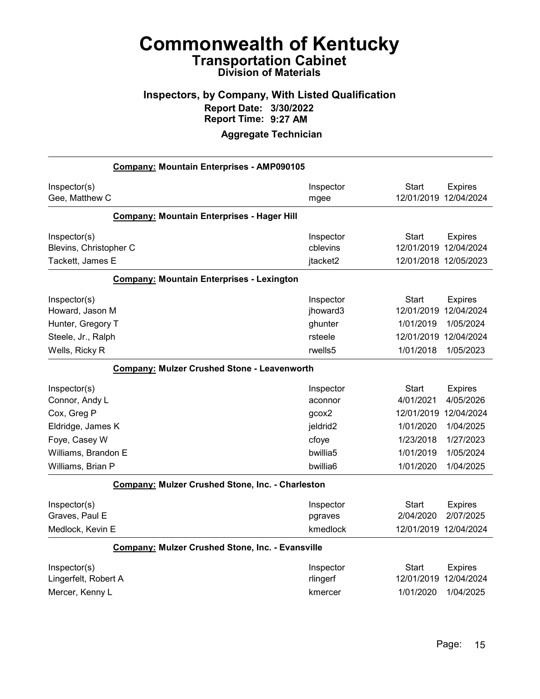#### Inspectors, by Company, With Listed Qualification Report Date: 3/30/2022 Report Time: 9:27 AM

|                        | Company: Mountain Enterprises - AMP090105               |                      |                       |                |
|------------------------|---------------------------------------------------------|----------------------|-----------------------|----------------|
| Inspector(s)           |                                                         | Inspector            | <b>Start</b>          | <b>Expires</b> |
| Gee, Matthew C         |                                                         | mgee                 | 12/01/2019 12/04/2024 |                |
|                        | Company: Mountain Enterprises - Hager Hill              |                      |                       |                |
| Inspector(s)           |                                                         | Inspector            | Start                 | <b>Expires</b> |
| Blevins, Christopher C |                                                         | cblevins             | 12/01/2019 12/04/2024 |                |
| Tackett, James E       |                                                         | jtacket2             | 12/01/2018 12/05/2023 |                |
|                        | <b>Company: Mountain Enterprises - Lexington</b>        |                      |                       |                |
| Inspector(s)           |                                                         | Inspector            | Start                 | <b>Expires</b> |
| Howard, Jason M        |                                                         | jhoward3             | 12/01/2019 12/04/2024 |                |
| Hunter, Gregory T      |                                                         | ghunter              | 1/01/2019             | 1/05/2024      |
| Steele, Jr., Ralph     |                                                         | rsteele              | 12/01/2019            | 12/04/2024     |
| Wells, Ricky R         |                                                         | rwells <sub>5</sub>  | 1/01/2018             | 1/05/2023      |
|                        | <b>Company: Mulzer Crushed Stone - Leavenworth</b>      |                      |                       |                |
| Inspector(s)           |                                                         | Inspector            | <b>Start</b>          | <b>Expires</b> |
| Connor, Andy L         |                                                         | aconnor              | 4/01/2021             | 4/05/2026      |
| Cox, Greg P            |                                                         | qcox2                | 12/01/2019 12/04/2024 |                |
| Eldridge, James K      |                                                         | jeldrid <sub>2</sub> | 1/01/2020             | 1/04/2025      |
| Foye, Casey W          |                                                         | cfoye                | 1/23/2018             | 1/27/2023      |
| Williams, Brandon E    |                                                         | bwillia5             | 1/01/2019             | 1/05/2024      |
| Williams, Brian P      |                                                         | bwillia6             | 1/01/2020             | 1/04/2025      |
|                        | <b>Company: Mulzer Crushed Stone, Inc. - Charleston</b> |                      |                       |                |
| Inspector(s)           |                                                         | Inspector            | Start                 | <b>Expires</b> |
| Graves, Paul E         |                                                         | pgraves              | 2/04/2020             | 2/07/2025      |
| Medlock, Kevin E       |                                                         | kmedlock             | 12/01/2019 12/04/2024 |                |
|                        | <b>Company: Mulzer Crushed Stone, Inc. - Evansville</b> |                      |                       |                |
| Inspector(s)           |                                                         | Inspector            | Start                 | <b>Expires</b> |
| Lingerfelt, Robert A   |                                                         | rlingerf             | 12/01/2019 12/04/2024 |                |
| Mercer, Kenny L        |                                                         | kmercer              | 1/01/2020             | 1/04/2025      |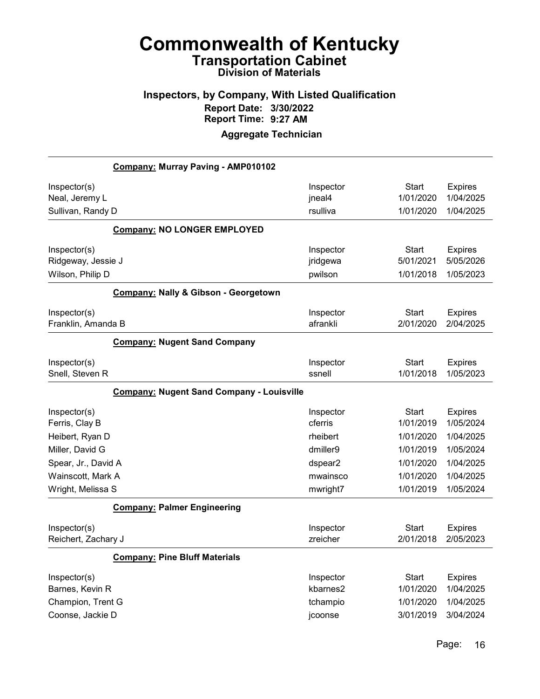#### Inspectors, by Company, With Listed Qualification Report Date: 3/30/2022 Report Time: 9:27 AM

|                     | Company: Murray Paving - AMP010102               |           |              |                |
|---------------------|--------------------------------------------------|-----------|--------------|----------------|
| Inspector(s)        |                                                  | Inspector | <b>Start</b> | <b>Expires</b> |
| Neal, Jeremy L      |                                                  | jneal4    | 1/01/2020    | 1/04/2025      |
| Sullivan, Randy D   |                                                  | rsulliva  | 1/01/2020    | 1/04/2025      |
|                     | <b>Company: NO LONGER EMPLOYED</b>               |           |              |                |
| Inspector(s)        |                                                  | Inspector | <b>Start</b> | <b>Expires</b> |
| Ridgeway, Jessie J  |                                                  | jridgewa  | 5/01/2021    | 5/05/2026      |
| Wilson, Philip D    |                                                  | pwilson   | 1/01/2018    | 1/05/2023      |
|                     | Company: Nally & Gibson - Georgetown             |           |              |                |
| Inspector(s)        |                                                  | Inspector | <b>Start</b> | <b>Expires</b> |
| Franklin, Amanda B  |                                                  | afrankli  | 2/01/2020    | 2/04/2025      |
|                     | <b>Company: Nugent Sand Company</b>              |           |              |                |
| Inspector(s)        |                                                  | Inspector | <b>Start</b> | <b>Expires</b> |
| Snell, Steven R     |                                                  | ssnell    | 1/01/2018    | 1/05/2023      |
|                     | <b>Company: Nugent Sand Company - Louisville</b> |           |              |                |
| Inspector(s)        |                                                  | Inspector | <b>Start</b> | <b>Expires</b> |
| Ferris, Clay B      |                                                  | cferris   | 1/01/2019    | 1/05/2024      |
| Heibert, Ryan D     |                                                  | rheibert  | 1/01/2020    | 1/04/2025      |
| Miller, David G     |                                                  | dmiller9  | 1/01/2019    | 1/05/2024      |
| Spear, Jr., David A |                                                  | dspear2   | 1/01/2020    | 1/04/2025      |
| Wainscott, Mark A   |                                                  | mwainsco  | 1/01/2020    | 1/04/2025      |
| Wright, Melissa S   |                                                  | mwright7  | 1/01/2019    | 1/05/2024      |
|                     | <b>Company: Palmer Engineering</b>               |           |              |                |
| Inspector(s)        |                                                  | Inspector | <b>Start</b> | <b>Expires</b> |
| Reichert, Zachary J |                                                  | zreicher  | 2/01/2018    | 2/05/2023      |
|                     | <b>Company: Pine Bluff Materials</b>             |           |              |                |
| Inspector(s)        |                                                  | Inspector | <b>Start</b> | <b>Expires</b> |
| Barnes, Kevin R     |                                                  | kbarnes2  | 1/01/2020    | 1/04/2025      |
| Champion, Trent G   |                                                  | tchampio  | 1/01/2020    | 1/04/2025      |
| Coonse, Jackie D    |                                                  | jcoonse   | 3/01/2019    | 3/04/2024      |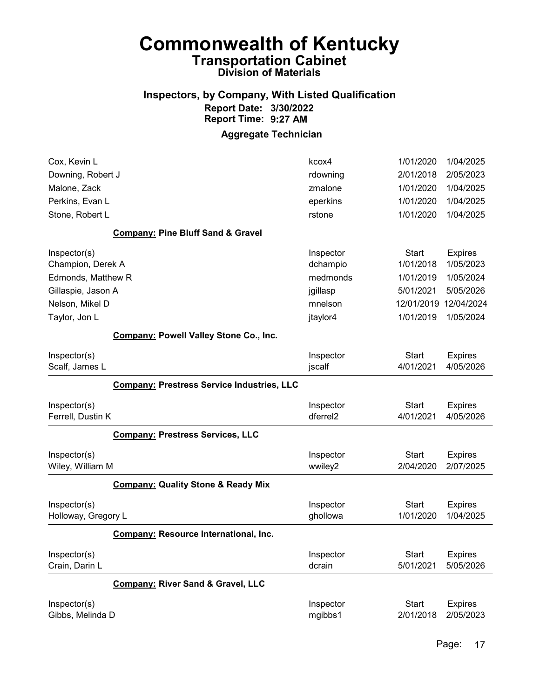#### Inspectors, by Company, With Listed Qualification Report Date: 3/30/2022 Report Time: 9:27 AM

| Cox, Kevin L                        |                                                   | kcox4                             | 1/01/2020                 | 1/04/2025                   |
|-------------------------------------|---------------------------------------------------|-----------------------------------|---------------------------|-----------------------------|
| Downing, Robert J                   |                                                   | rdowning                          | 2/01/2018                 | 2/05/2023                   |
| Malone, Zack                        |                                                   | zmalone                           | 1/01/2020                 | 1/04/2025                   |
| Perkins, Evan L                     |                                                   | eperkins                          | 1/01/2020                 | 1/04/2025                   |
| Stone, Robert L                     |                                                   | rstone                            | 1/01/2020                 | 1/04/2025                   |
|                                     | <b>Company: Pine Bluff Sand &amp; Gravel</b>      |                                   |                           |                             |
| Inspector(s)                        |                                                   | Inspector                         | <b>Start</b>              | <b>Expires</b>              |
| Champion, Derek A                   |                                                   | dchampio                          | 1/01/2018                 | 1/05/2023                   |
| Edmonds, Matthew R                  |                                                   | medmonds                          | 1/01/2019                 | 1/05/2024                   |
| Gillaspie, Jason A                  |                                                   | jgillasp                          | 5/01/2021                 | 5/05/2026                   |
| Nelson, Mikel D                     |                                                   | mnelson                           | 12/01/2019                | 12/04/2024                  |
| Taylor, Jon L                       |                                                   | jtaylor4                          | 1/01/2019                 | 1/05/2024                   |
|                                     | Company: Powell Valley Stone Co., Inc.            |                                   |                           |                             |
| Inspector(s)<br>Scalf, James L      |                                                   | Inspector<br>jscalf               | <b>Start</b><br>4/01/2021 | <b>Expires</b><br>4/05/2026 |
|                                     | <b>Company: Prestress Service Industries, LLC</b> |                                   |                           |                             |
| Inspector(s)<br>Ferrell, Dustin K   |                                                   | Inspector<br>dferrel <sub>2</sub> | <b>Start</b><br>4/01/2021 | <b>Expires</b><br>4/05/2026 |
|                                     | <b>Company: Prestress Services, LLC</b>           |                                   |                           |                             |
| Inspector(s)<br>Wiley, William M    |                                                   | Inspector<br>wwiley2              | <b>Start</b><br>2/04/2020 | <b>Expires</b><br>2/07/2025 |
|                                     | <b>Company: Quality Stone &amp; Ready Mix</b>     |                                   |                           |                             |
| Inspector(s)<br>Holloway, Gregory L |                                                   | Inspector<br>ghollowa             | <b>Start</b><br>1/01/2020 | <b>Expires</b><br>1/04/2025 |
|                                     | Company: Resource International, Inc.             |                                   |                           |                             |
| Inspector(s)<br>Crain, Darin L      |                                                   | Inspector<br>dcrain               | <b>Start</b><br>5/01/2021 | <b>Expires</b><br>5/05/2026 |
|                                     | Company: River Sand & Gravel, LLC                 |                                   |                           |                             |
| Inspector(s)<br>Gibbs, Melinda D    |                                                   | Inspector<br>mgibbs1              | <b>Start</b><br>2/01/2018 | <b>Expires</b><br>2/05/2023 |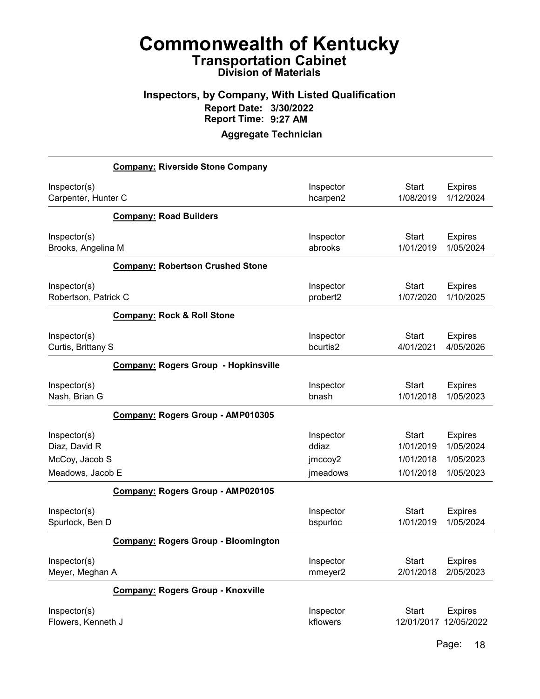#### Inspectors, by Company, With Listed Qualification Report Date: 3/30/2022 Report Time: 9:27 AM

|                      | <b>Company: Riverside Stone Company</b>     |           |              |                |
|----------------------|---------------------------------------------|-----------|--------------|----------------|
| Inspector(s)         |                                             | Inspector | <b>Start</b> | <b>Expires</b> |
| Carpenter, Hunter C  |                                             | hcarpen2  | 1/08/2019    | 1/12/2024      |
|                      | <b>Company: Road Builders</b>               |           |              |                |
| Inspector(s)         |                                             | Inspector | <b>Start</b> | <b>Expires</b> |
| Brooks, Angelina M   |                                             | abrooks   | 1/01/2019    | 1/05/2024      |
|                      | <b>Company: Robertson Crushed Stone</b>     |           |              |                |
| Inspector(s)         |                                             | Inspector | <b>Start</b> | <b>Expires</b> |
| Robertson, Patrick C |                                             | probert2  | 1/07/2020    | 1/10/2025      |
|                      | <b>Company: Rock &amp; Roll Stone</b>       |           |              |                |
| Inspector(s)         |                                             | Inspector | <b>Start</b> | <b>Expires</b> |
| Curtis, Brittany S   |                                             | bcurtis2  | 4/01/2021    | 4/05/2026      |
|                      | <b>Company: Rogers Group - Hopkinsville</b> |           |              |                |
| Inspector(s)         |                                             | Inspector | <b>Start</b> | <b>Expires</b> |
| Nash, Brian G        |                                             | bnash     | 1/01/2018    | 1/05/2023      |
|                      | Company: Rogers Group - AMP010305           |           |              |                |
| Inspector(s)         |                                             | Inspector | <b>Start</b> | <b>Expires</b> |
| Diaz, David R        |                                             | ddiaz     | 1/01/2019    | 1/05/2024      |
| McCoy, Jacob S       |                                             | jmccoy2   | 1/01/2018    | 1/05/2023      |
| Meadows, Jacob E     |                                             | jmeadows  | 1/01/2018    | 1/05/2023      |
|                      | Company: Rogers Group - AMP020105           |           |              |                |
| Inspector(s)         |                                             | Inspector | <b>Start</b> | <b>Expires</b> |
| Spurlock, Ben D      |                                             | bspurloc  | 1/01/2019    | 1/05/2024      |
|                      | <b>Company: Rogers Group - Bloomington</b>  |           |              |                |
| Inspector(s)         |                                             | Inspector | Start        | <b>Expires</b> |
| Meyer, Meghan A      |                                             | mmeyer2   | 2/01/2018    | 2/05/2023      |
|                      | <b>Company: Rogers Group - Knoxville</b>    |           |              |                |
| Inspector(s)         |                                             | Inspector | <b>Start</b> | <b>Expires</b> |
| Flowers, Kenneth J   |                                             | kflowers  | 12/01/2017   | 12/05/2022     |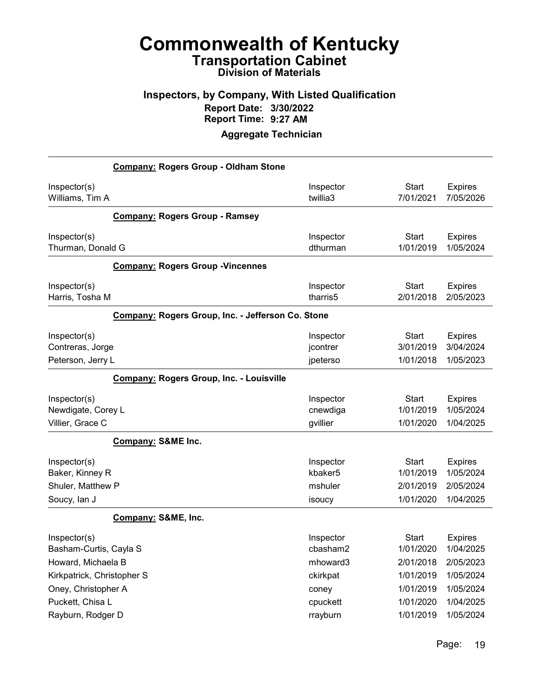#### Inspectors, by Company, With Listed Qualification Report Date: 3/30/2022 Report Time: 9:27 AM

|                            | <b>Company: Rogers Group - Oldham Stone</b>       |           |              |                |
|----------------------------|---------------------------------------------------|-----------|--------------|----------------|
| Inspector(s)               |                                                   | Inspector | <b>Start</b> | <b>Expires</b> |
| Williams, Tim A            |                                                   | twillia3  | 7/01/2021    | 7/05/2026      |
|                            | <b>Company: Rogers Group - Ramsey</b>             |           |              |                |
| Inspector(s)               |                                                   | Inspector | <b>Start</b> | <b>Expires</b> |
| Thurman, Donald G          |                                                   | dthurman  | 1/01/2019    | 1/05/2024      |
|                            | <b>Company: Rogers Group - Vincennes</b>          |           |              |                |
| Inspector(s)               |                                                   | Inspector | Start        | <b>Expires</b> |
| Harris, Tosha M            |                                                   | tharris5  | 2/01/2018    | 2/05/2023      |
|                            | Company: Rogers Group, Inc. - Jefferson Co. Stone |           |              |                |
| Inspector(s)               |                                                   | Inspector | <b>Start</b> | <b>Expires</b> |
| Contreras, Jorge           |                                                   | jcontrer  | 3/01/2019    | 3/04/2024      |
| Peterson, Jerry L          |                                                   | jpeterso  | 1/01/2018    | 1/05/2023      |
|                            | <b>Company: Rogers Group, Inc. - Louisville</b>   |           |              |                |
| Inspector(s)               |                                                   | Inspector | <b>Start</b> | <b>Expires</b> |
| Newdigate, Corey L         |                                                   | cnewdiga  | 1/01/2019    | 1/05/2024      |
| Villier, Grace C           |                                                   | gvillier  | 1/01/2020    | 1/04/2025      |
|                            | Company: S&ME Inc.                                |           |              |                |
| Inspector(s)               |                                                   | Inspector | <b>Start</b> | <b>Expires</b> |
| Baker, Kinney R            |                                                   | kbaker5   | 1/01/2019    | 1/05/2024      |
| Shuler, Matthew P          |                                                   | mshuler   | 2/01/2019    | 2/05/2024      |
| Soucy, lan J               |                                                   | isoucy    | 1/01/2020    | 1/04/2025      |
|                            | Company: S&ME, Inc.                               |           |              |                |
| Inspector(s)               |                                                   | Inspector | <b>Start</b> | <b>Expires</b> |
| Basham-Curtis, Cayla S     |                                                   | cbasham2  | 1/01/2020    | 1/04/2025      |
| Howard, Michaela B         |                                                   | mhoward3  | 2/01/2018    | 2/05/2023      |
| Kirkpatrick, Christopher S |                                                   | ckirkpat  | 1/01/2019    | 1/05/2024      |
| Oney, Christopher A        |                                                   | coney     | 1/01/2019    | 1/05/2024      |
| Puckett, Chisa L           |                                                   | cpuckett  | 1/01/2020    | 1/04/2025      |
| Rayburn, Rodger D          |                                                   | rrayburn  | 1/01/2019    | 1/05/2024      |
|                            |                                                   |           |              |                |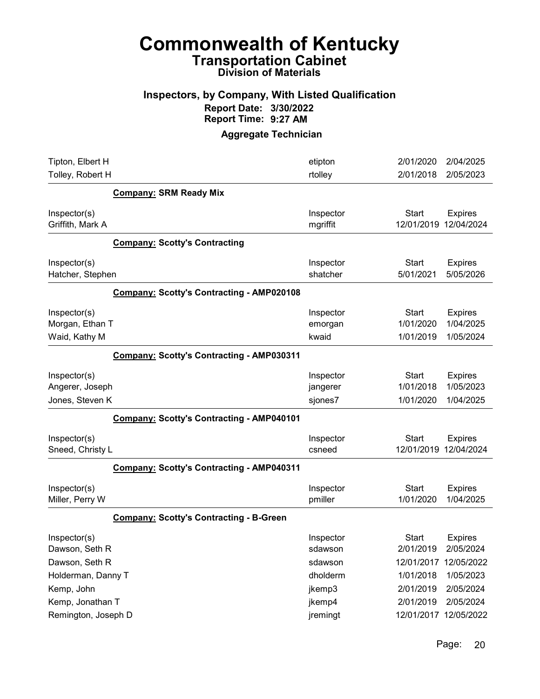## Commonwealth of Kentucky Transportation Cabinet

Division of Materials

#### Inspectors, by Company, With Listed Qualification Report Date: 3/30/2022 Report Time: 9:27 AM

| Tipton, Elbert H<br>Tolley, Robert H               |                                                  | etipton<br>rtolley               | 2/01/2020<br>2/01/2018                 | 2/04/2025<br>2/05/2023                   |
|----------------------------------------------------|--------------------------------------------------|----------------------------------|----------------------------------------|------------------------------------------|
|                                                    | <b>Company: SRM Ready Mix</b>                    |                                  |                                        |                                          |
| Inspector(s)<br>Griffith, Mark A                   |                                                  | Inspector<br>mgriffit            | <b>Start</b><br>12/01/2019             | <b>Expires</b><br>12/04/2024             |
|                                                    | <b>Company: Scotty's Contracting</b>             |                                  |                                        |                                          |
| Inspector(s)<br>Hatcher, Stephen                   |                                                  | Inspector<br>shatcher            | <b>Start</b><br>5/01/2021              | <b>Expires</b><br>5/05/2026              |
|                                                    | <b>Company: Scotty's Contracting - AMP020108</b> |                                  |                                        |                                          |
| Inspector(s)<br>Morgan, Ethan T<br>Waid, Kathy M   |                                                  | Inspector<br>emorgan<br>kwaid    | Start<br>1/01/2020<br>1/01/2019        | <b>Expires</b><br>1/04/2025<br>1/05/2024 |
|                                                    | <b>Company: Scotty's Contracting - AMP030311</b> |                                  |                                        |                                          |
| Inspector(s)<br>Angerer, Joseph<br>Jones, Steven K |                                                  | Inspector<br>jangerer<br>sjones7 | <b>Start</b><br>1/01/2018<br>1/01/2020 | <b>Expires</b><br>1/05/2023<br>1/04/2025 |
|                                                    | <b>Company: Scotty's Contracting - AMP040101</b> |                                  |                                        |                                          |
| Inspector(s)<br>Sneed, Christy L                   |                                                  | Inspector<br>csneed              | <b>Start</b><br>12/01/2019             | <b>Expires</b><br>12/04/2024             |
|                                                    | Company: Scotty's Contracting - AMP040311        |                                  |                                        |                                          |
| Inspector(s)<br>Miller, Perry W                    |                                                  | Inspector<br>pmiller             | Start<br>1/01/2020                     | <b>Expires</b><br>1/04/2025              |
|                                                    | <b>Company: Scotty's Contracting - B-Green</b>   |                                  |                                        |                                          |
| Inspector(s)<br>Dawson, Seth R                     |                                                  | Inspector<br>sdawson             | Start<br>2/01/2019                     | <b>Expires</b><br>2/05/2024              |
| Dawson, Seth R<br>Holderman, Danny T               |                                                  | sdawson<br>dholderm              | 12/01/2017<br>1/01/2018                | 12/05/2022<br>1/05/2023                  |
| Kemp, John                                         |                                                  | jkemp3                           | 2/01/2019                              | 2/05/2024                                |
| Kemp, Jonathan T                                   |                                                  | jkemp4                           | 2/01/2019                              | 2/05/2024                                |
| Remington, Joseph D                                |                                                  | jremingt                         | 12/01/2017 12/05/2022                  |                                          |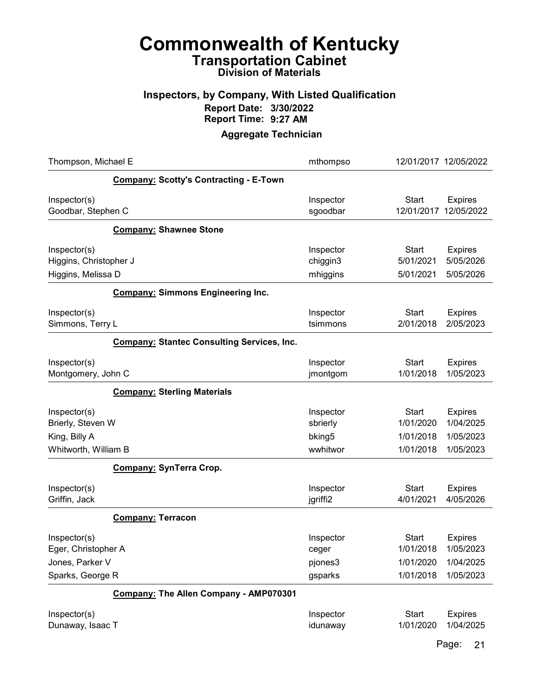#### Inspectors, by Company, With Listed Qualification Report Date: 3/30/2022 Report Time: 9:27 AM

#### Aggregate Technician

| Thompson, Michael E                                                        |                                                   | mthompso                                    | 12/01/2017 12/05/2022                               |                                                       |
|----------------------------------------------------------------------------|---------------------------------------------------|---------------------------------------------|-----------------------------------------------------|-------------------------------------------------------|
|                                                                            | <b>Company: Scotty's Contracting - E-Town</b>     |                                             |                                                     |                                                       |
| Inspector(s)<br>Goodbar, Stephen C                                         |                                                   | Inspector<br>sgoodbar                       | <b>Start</b><br>12/01/2017                          | <b>Expires</b><br>12/05/2022                          |
|                                                                            | <b>Company: Shawnee Stone</b>                     |                                             |                                                     |                                                       |
| Inspector(s)<br>Higgins, Christopher J<br>Higgins, Melissa D               |                                                   | Inspector<br>chiggin3<br>mhiggins           | <b>Start</b><br>5/01/2021<br>5/01/2021              | <b>Expires</b><br>5/05/2026<br>5/05/2026              |
|                                                                            | <b>Company: Simmons Engineering Inc.</b>          |                                             |                                                     |                                                       |
| Inspector(s)<br>Simmons, Terry L                                           |                                                   | Inspector<br>tsimmons                       | <b>Start</b><br>2/01/2018                           | <b>Expires</b><br>2/05/2023                           |
|                                                                            | <b>Company: Stantec Consulting Services, Inc.</b> |                                             |                                                     |                                                       |
| Inspector(s)<br>Montgomery, John C                                         |                                                   | Inspector<br>jmontgom                       | <b>Start</b><br>1/01/2018                           | <b>Expires</b><br>1/05/2023                           |
|                                                                            | <b>Company: Sterling Materials</b>                |                                             |                                                     |                                                       |
| Inspector(s)<br>Brierly, Steven W<br>King, Billy A<br>Whitworth, William B |                                                   | Inspector<br>sbrierly<br>bking5<br>wwhitwor | <b>Start</b><br>1/01/2020<br>1/01/2018<br>1/01/2018 | <b>Expires</b><br>1/04/2025<br>1/05/2023<br>1/05/2023 |
|                                                                            | <b>Company: SynTerra Crop.</b>                    |                                             |                                                     |                                                       |
| Inspector(s)<br>Griffin, Jack                                              |                                                   | Inspector<br>jgriffi2                       | <b>Start</b><br>4/01/2021                           | <b>Expires</b><br>4/05/2026                           |
|                                                                            | <b>Company: Terracon</b>                          |                                             |                                                     |                                                       |
| Inspector(s)<br>Eger, Christopher A<br>Jones, Parker V<br>Sparks, George R |                                                   | Inspector<br>ceger<br>pjones3<br>gsparks    | <b>Start</b><br>1/01/2018<br>1/01/2020<br>1/01/2018 | <b>Expires</b><br>1/05/2023<br>1/04/2025<br>1/05/2023 |
|                                                                            | Company: The Allen Company - AMP070301            |                                             |                                                     |                                                       |
| Inspector(s)<br>Dunaway, Isaac T                                           |                                                   | Inspector<br>idunaway                       | <b>Start</b><br>1/01/2020                           | <b>Expires</b><br>1/04/2025                           |

Page: 21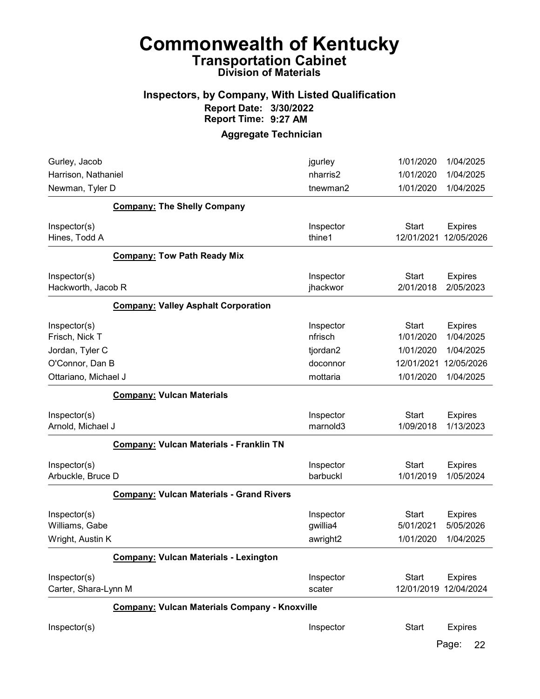# Commonwealth of Kentucky Transportation Cabinet

### Division of Materials

#### Inspectors, by Company, With Listed Qualification Report Date: 3/30/2022 Report Time: 9:27 AM

#### Aggregate Technician

| Gurley, Jacob        |                                                      | jgurley   | 1/01/2020    | 1/04/2025             |
|----------------------|------------------------------------------------------|-----------|--------------|-----------------------|
| Harrison, Nathaniel  |                                                      | nharris2  | 1/01/2020    | 1/04/2025             |
| Newman, Tyler D      |                                                      | tnewman2  | 1/01/2020    | 1/04/2025             |
|                      | <b>Company: The Shelly Company</b>                   |           |              |                       |
| Inspector(s)         |                                                      | Inspector | <b>Start</b> | <b>Expires</b>        |
| Hines, Todd A        |                                                      | thine1    | 12/01/2021   | 12/05/2026            |
|                      | <b>Company: Tow Path Ready Mix</b>                   |           |              |                       |
| Inspector(s)         |                                                      | Inspector | <b>Start</b> | <b>Expires</b>        |
| Hackworth, Jacob R   |                                                      | jhackwor  | 2/01/2018    | 2/05/2023             |
|                      | <b>Company: Valley Asphalt Corporation</b>           |           |              |                       |
| Inspector(s)         |                                                      | Inspector | <b>Start</b> | <b>Expires</b>        |
| Frisch, Nick T       |                                                      | nfrisch   | 1/01/2020    | 1/04/2025             |
| Jordan, Tyler C      |                                                      | tjordan2  | 1/01/2020    | 1/04/2025             |
| O'Connor, Dan B      |                                                      | doconnor  | 12/01/2021   | 12/05/2026            |
| Ottariano, Michael J |                                                      | mottaria  | 1/01/2020    | 1/04/2025             |
|                      | <b>Company: Vulcan Materials</b>                     |           |              |                       |
| Inspector(s)         |                                                      | Inspector | <b>Start</b> | <b>Expires</b>        |
| Arnold, Michael J    |                                                      | marnold3  | 1/09/2018    | 1/13/2023             |
|                      | Company: Vulcan Materials - Franklin TN              |           |              |                       |
| Inspector(s)         |                                                      | Inspector | <b>Start</b> | <b>Expires</b>        |
| Arbuckle, Bruce D    |                                                      | barbuckl  | 1/01/2019    | 1/05/2024             |
|                      | <b>Company: Vulcan Materials - Grand Rivers</b>      |           |              |                       |
| Inspector(s)         |                                                      | Inspector | <b>Start</b> | <b>Expires</b>        |
| Williams, Gabe       |                                                      | gwillia4  | 5/01/2021    | 5/05/2026             |
| Wright, Austin K     |                                                      | awright2  | 1/01/2020    | 1/04/2025             |
|                      | <b>Company: Vulcan Materials - Lexington</b>         |           |              |                       |
| Inspector(s)         |                                                      | Inspector | <b>Start</b> | <b>Expires</b>        |
| Carter, Shara-Lynn M |                                                      | scater    |              | 12/01/2019 12/04/2024 |
|                      | <b>Company: Vulcan Materials Company - Knoxville</b> |           |              |                       |
| Inspector(s)         |                                                      | Inspector | <b>Start</b> | <b>Expires</b>        |

Page: 22